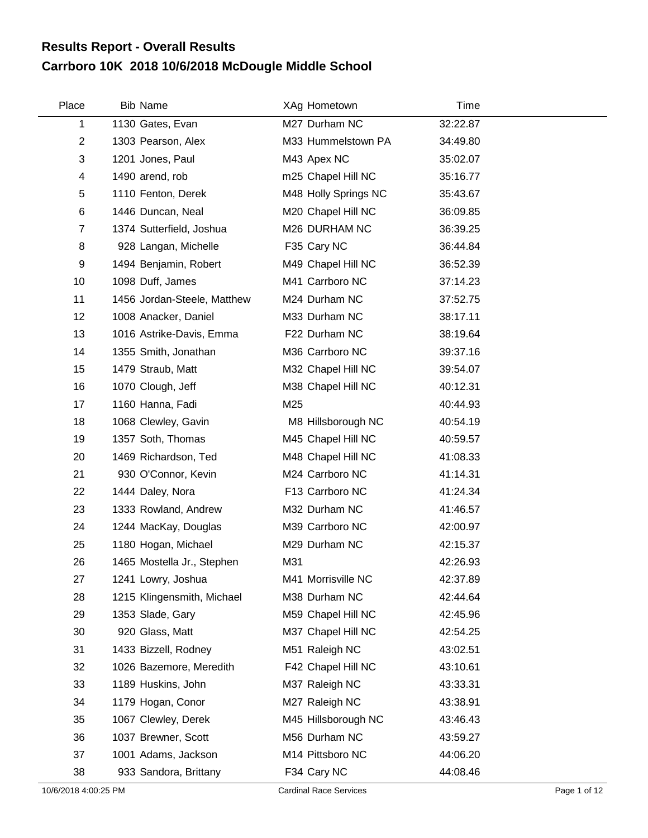## **Carrboro 10K 2018 10/6/2018 McDougle Middle School Results Report - Overall Results**

| Place            | <b>Bib Name</b>             | XAg Hometown         | Time     |  |
|------------------|-----------------------------|----------------------|----------|--|
| 1                | 1130 Gates, Evan            | M27 Durham NC        | 32:22.87 |  |
| $\boldsymbol{2}$ | 1303 Pearson, Alex          | M33 Hummelstown PA   | 34:49.80 |  |
| 3                | 1201 Jones, Paul            | M43 Apex NC          | 35:02.07 |  |
| 4                | 1490 arend, rob             | m25 Chapel Hill NC   | 35:16.77 |  |
| 5                | 1110 Fenton, Derek          | M48 Holly Springs NC | 35:43.67 |  |
| 6                | 1446 Duncan, Neal           | M20 Chapel Hill NC   | 36:09.85 |  |
| $\overline{7}$   | 1374 Sutterfield, Joshua    | M26 DURHAM NC        | 36:39.25 |  |
| 8                | 928 Langan, Michelle        | F35 Cary NC          | 36:44.84 |  |
| 9                | 1494 Benjamin, Robert       | M49 Chapel Hill NC   | 36:52.39 |  |
| 10               | 1098 Duff, James            | M41 Carrboro NC      | 37:14.23 |  |
| 11               | 1456 Jordan-Steele, Matthew | M24 Durham NC        | 37:52.75 |  |
| 12               | 1008 Anacker, Daniel        | M33 Durham NC        | 38:17.11 |  |
| 13               | 1016 Astrike-Davis, Emma    | F22 Durham NC        | 38:19.64 |  |
| 14               | 1355 Smith, Jonathan        | M36 Carrboro NC      | 39:37.16 |  |
| 15               | 1479 Straub, Matt           | M32 Chapel Hill NC   | 39:54.07 |  |
| 16               | 1070 Clough, Jeff           | M38 Chapel Hill NC   | 40:12.31 |  |
| 17               | 1160 Hanna, Fadi            | M25                  | 40:44.93 |  |
| 18               | 1068 Clewley, Gavin         | M8 Hillsborough NC   | 40:54.19 |  |
| 19               | 1357 Soth, Thomas           | M45 Chapel Hill NC   | 40:59.57 |  |
| 20               | 1469 Richardson, Ted        | M48 Chapel Hill NC   | 41:08.33 |  |
| 21               | 930 O'Connor, Kevin         | M24 Carrboro NC      | 41:14.31 |  |
| 22               | 1444 Daley, Nora            | F13 Carrboro NC      | 41:24.34 |  |
| 23               | 1333 Rowland, Andrew        | M32 Durham NC        | 41:46.57 |  |
| 24               | 1244 MacKay, Douglas        | M39 Carrboro NC      | 42:00.97 |  |
| 25               | 1180 Hogan, Michael         | M29 Durham NC        | 42:15.37 |  |
| 26               | 1465 Mostella Jr., Stephen  | M31                  | 42:26.93 |  |
| 27               | 1241 Lowry, Joshua          | M41 Morrisville NC   | 42:37.89 |  |
| 28               | 1215 Klingensmith, Michael  | M38 Durham NC        | 42:44.64 |  |
| 29               | 1353 Slade, Gary            | M59 Chapel Hill NC   | 42:45.96 |  |
| 30               | 920 Glass, Matt             | M37 Chapel Hill NC   | 42:54.25 |  |
| 31               | 1433 Bizzell, Rodney        | M51 Raleigh NC       | 43:02.51 |  |
| 32               | 1026 Bazemore, Meredith     | F42 Chapel Hill NC   | 43:10.61 |  |
| 33               | 1189 Huskins, John          | M37 Raleigh NC       | 43:33.31 |  |
| 34               | 1179 Hogan, Conor           | M27 Raleigh NC       | 43:38.91 |  |
| 35               | 1067 Clewley, Derek         | M45 Hillsborough NC  | 43:46.43 |  |
| 36               | 1037 Brewner, Scott         | M56 Durham NC        | 43:59.27 |  |
| 37               | 1001 Adams, Jackson         | M14 Pittsboro NC     | 44:06.20 |  |
| 38               | 933 Sandora, Brittany       | F34 Cary NC          | 44:08.46 |  |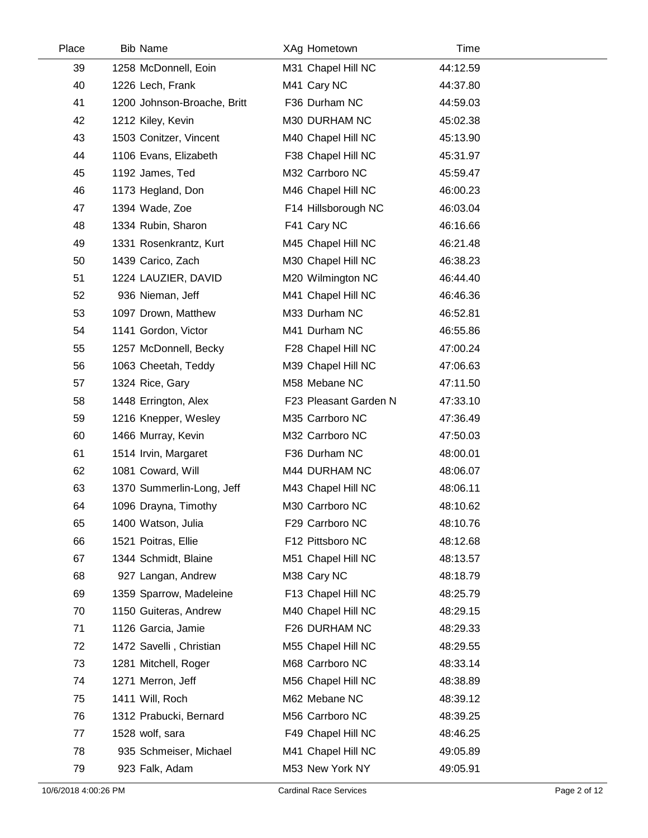| Place | <b>Bib Name</b>             | XAg Hometown          | Time     |  |
|-------|-----------------------------|-----------------------|----------|--|
| 39    | 1258 McDonnell, Eoin        | M31 Chapel Hill NC    | 44:12.59 |  |
| 40    | 1226 Lech, Frank            | M41 Cary NC           | 44:37.80 |  |
| 41    | 1200 Johnson-Broache, Britt | F36 Durham NC         | 44:59.03 |  |
| 42    | 1212 Kiley, Kevin           | M30 DURHAM NC         | 45:02.38 |  |
| 43    | 1503 Conitzer, Vincent      | M40 Chapel Hill NC    | 45:13.90 |  |
| 44    | 1106 Evans, Elizabeth       | F38 Chapel Hill NC    | 45:31.97 |  |
| 45    | 1192 James, Ted             | M32 Carrboro NC       | 45:59.47 |  |
| 46    | 1173 Hegland, Don           | M46 Chapel Hill NC    | 46:00.23 |  |
| 47    | 1394 Wade, Zoe              | F14 Hillsborough NC   | 46:03.04 |  |
| 48    | 1334 Rubin, Sharon          | F41 Cary NC           | 46:16.66 |  |
| 49    | 1331 Rosenkrantz, Kurt      | M45 Chapel Hill NC    | 46:21.48 |  |
| 50    | 1439 Carico, Zach           | M30 Chapel Hill NC    | 46:38.23 |  |
| 51    | 1224 LAUZIER, DAVID         | M20 Wilmington NC     | 46:44.40 |  |
| 52    | 936 Nieman, Jeff            | M41 Chapel Hill NC    | 46:46.36 |  |
| 53    | 1097 Drown, Matthew         | M33 Durham NC         | 46:52.81 |  |
| 54    | 1141 Gordon, Victor         | M41 Durham NC         | 46:55.86 |  |
| 55    | 1257 McDonnell, Becky       | F28 Chapel Hill NC    | 47:00.24 |  |
| 56    | 1063 Cheetah, Teddy         | M39 Chapel Hill NC    | 47:06.63 |  |
| 57    | 1324 Rice, Gary             | M58 Mebane NC         | 47:11.50 |  |
| 58    | 1448 Errington, Alex        | F23 Pleasant Garden N | 47:33.10 |  |
| 59    | 1216 Knepper, Wesley        | M35 Carrboro NC       | 47:36.49 |  |
| 60    | 1466 Murray, Kevin          | M32 Carrboro NC       | 47:50.03 |  |
| 61    | 1514 Irvin, Margaret        | F36 Durham NC         | 48:00.01 |  |
| 62    | 1081 Coward, Will           | M44 DURHAM NC         | 48:06.07 |  |
| 63    | 1370 Summerlin-Long, Jeff   | M43 Chapel Hill NC    | 48:06.11 |  |
| 64    | 1096 Drayna, Timothy        | M30 Carrboro NC       | 48:10.62 |  |
| 65    | 1400 Watson, Julia          | F29 Carrboro NC       | 48:10.76 |  |
| 66    | 1521 Poitras, Ellie         | F12 Pittsboro NC      | 48:12.68 |  |
| 67    | 1344 Schmidt, Blaine        | M51 Chapel Hill NC    | 48:13.57 |  |
| 68    | 927 Langan, Andrew          | M38 Cary NC           | 48:18.79 |  |
| 69    | 1359 Sparrow, Madeleine     | F13 Chapel Hill NC    | 48:25.79 |  |
| 70    | 1150 Guiteras, Andrew       | M40 Chapel Hill NC    | 48:29.15 |  |
| 71    | 1126 Garcia, Jamie          | F26 DURHAM NC         | 48:29.33 |  |
| 72    | 1472 Savelli, Christian     | M55 Chapel Hill NC    | 48:29.55 |  |
| 73    | 1281 Mitchell, Roger        | M68 Carrboro NC       | 48:33.14 |  |
| 74    | 1271 Merron, Jeff           | M56 Chapel Hill NC    | 48:38.89 |  |
| 75    | 1411 Will, Roch             | M62 Mebane NC         | 48:39.12 |  |
| 76    | 1312 Prabucki, Bernard      | M56 Carrboro NC       | 48:39.25 |  |
| 77    | 1528 wolf, sara             | F49 Chapel Hill NC    | 48:46.25 |  |
| 78    | 935 Schmeiser, Michael      | M41 Chapel Hill NC    | 49:05.89 |  |
| 79    | 923 Falk, Adam              | M53 New York NY       | 49:05.91 |  |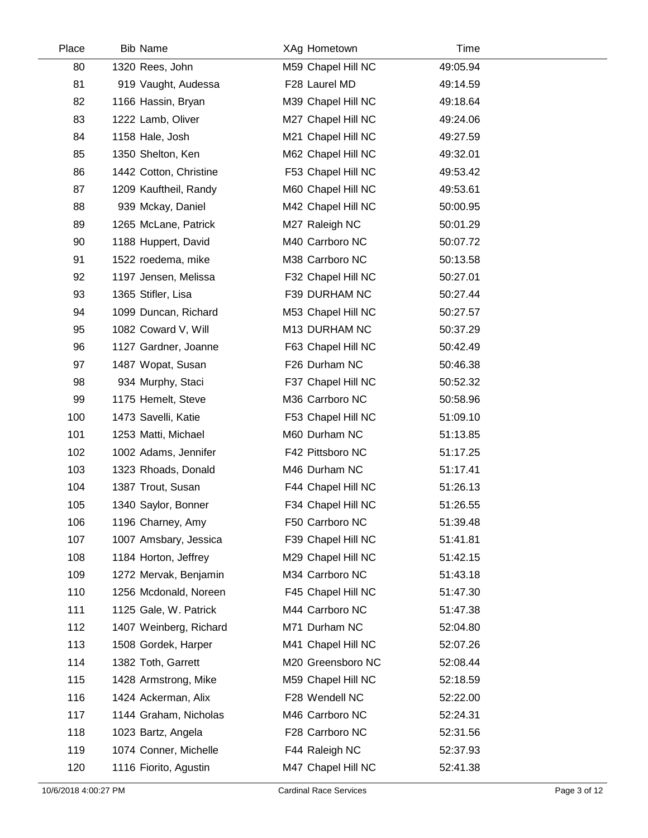| Place | <b>Bib Name</b>        | XAg Hometown       | Time     |  |
|-------|------------------------|--------------------|----------|--|
| 80    | 1320 Rees, John        | M59 Chapel Hill NC | 49:05.94 |  |
| 81    | 919 Vaught, Audessa    | F28 Laurel MD      | 49:14.59 |  |
| 82    | 1166 Hassin, Bryan     | M39 Chapel Hill NC | 49:18.64 |  |
| 83    | 1222 Lamb, Oliver      | M27 Chapel Hill NC | 49:24.06 |  |
| 84    | 1158 Hale, Josh        | M21 Chapel Hill NC | 49:27.59 |  |
| 85    | 1350 Shelton, Ken      | M62 Chapel Hill NC | 49:32.01 |  |
| 86    | 1442 Cotton, Christine | F53 Chapel Hill NC | 49:53.42 |  |
| 87    | 1209 Kauftheil, Randy  | M60 Chapel Hill NC | 49:53.61 |  |
| 88    | 939 Mckay, Daniel      | M42 Chapel Hill NC | 50:00.95 |  |
| 89    | 1265 McLane, Patrick   | M27 Raleigh NC     | 50:01.29 |  |
| 90    | 1188 Huppert, David    | M40 Carrboro NC    | 50:07.72 |  |
| 91    | 1522 roedema, mike     | M38 Carrboro NC    | 50:13.58 |  |
| 92    | 1197 Jensen, Melissa   | F32 Chapel Hill NC | 50:27.01 |  |
| 93    | 1365 Stifler, Lisa     | F39 DURHAM NC      | 50:27.44 |  |
| 94    | 1099 Duncan, Richard   | M53 Chapel Hill NC | 50:27.57 |  |
| 95    | 1082 Coward V, Will    | M13 DURHAM NC      | 50:37.29 |  |
| 96    | 1127 Gardner, Joanne   | F63 Chapel Hill NC | 50:42.49 |  |
| 97    | 1487 Wopat, Susan      | F26 Durham NC      | 50:46.38 |  |
| 98    | 934 Murphy, Staci      | F37 Chapel Hill NC | 50:52.32 |  |
| 99    | 1175 Hemelt, Steve     | M36 Carrboro NC    | 50:58.96 |  |
| 100   | 1473 Savelli, Katie    | F53 Chapel Hill NC | 51:09.10 |  |
| 101   | 1253 Matti, Michael    | M60 Durham NC      | 51:13.85 |  |
| 102   | 1002 Adams, Jennifer   | F42 Pittsboro NC   | 51:17.25 |  |
| 103   | 1323 Rhoads, Donald    | M46 Durham NC      | 51:17.41 |  |
| 104   | 1387 Trout, Susan      | F44 Chapel Hill NC | 51:26.13 |  |
| 105   | 1340 Saylor, Bonner    | F34 Chapel Hill NC | 51:26.55 |  |
| 106   | 1196 Charney, Amy      | F50 Carrboro NC    | 51:39.48 |  |
| 107   | 1007 Amsbary, Jessica  | F39 Chapel Hill NC | 51:41.81 |  |
| 108   | 1184 Horton, Jeffrey   | M29 Chapel Hill NC | 51:42.15 |  |
| 109   | 1272 Mervak, Benjamin  | M34 Carrboro NC    | 51:43.18 |  |
| 110   | 1256 Mcdonald, Noreen  | F45 Chapel Hill NC | 51:47.30 |  |
| 111   | 1125 Gale, W. Patrick  | M44 Carrboro NC    | 51:47.38 |  |
| 112   | 1407 Weinberg, Richard | M71 Durham NC      | 52:04.80 |  |
| 113   | 1508 Gordek, Harper    | M41 Chapel Hill NC | 52:07.26 |  |
| 114   | 1382 Toth, Garrett     | M20 Greensboro NC  | 52:08.44 |  |
| 115   | 1428 Armstrong, Mike   | M59 Chapel Hill NC | 52:18.59 |  |
| 116   | 1424 Ackerman, Alix    | F28 Wendell NC     | 52:22.00 |  |
| 117   | 1144 Graham, Nicholas  | M46 Carrboro NC    | 52:24.31 |  |
| 118   | 1023 Bartz, Angela     | F28 Carrboro NC    | 52:31.56 |  |
| 119   | 1074 Conner, Michelle  | F44 Raleigh NC     | 52:37.93 |  |
| 120   | 1116 Fiorito, Agustin  | M47 Chapel Hill NC | 52:41.38 |  |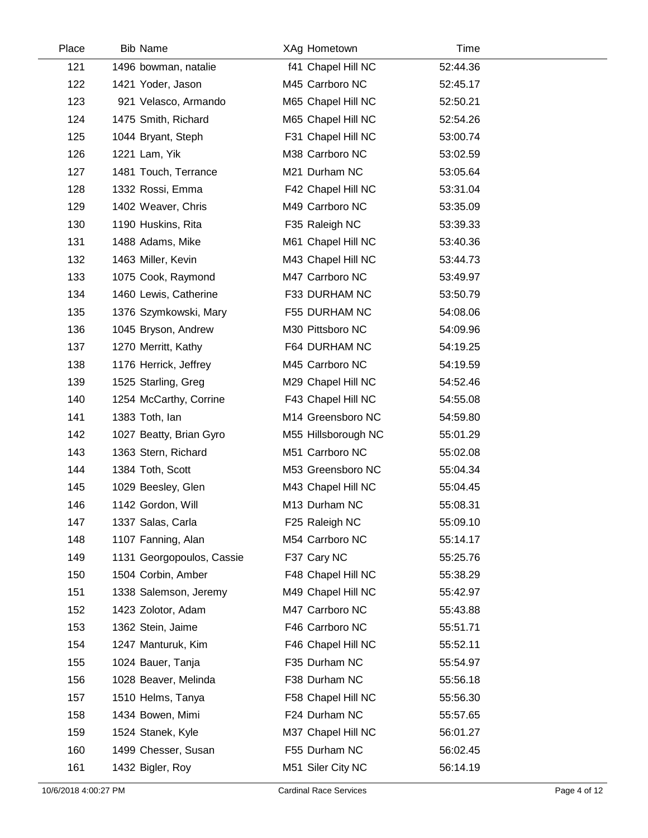| Place | <b>Bib Name</b>           | XAg Hometown        | Time     |  |
|-------|---------------------------|---------------------|----------|--|
| 121   | 1496 bowman, natalie      | f41 Chapel Hill NC  | 52:44.36 |  |
| 122   | 1421 Yoder, Jason         | M45 Carrboro NC     | 52:45.17 |  |
| 123   | 921 Velasco, Armando      | M65 Chapel Hill NC  | 52:50.21 |  |
| 124   | 1475 Smith, Richard       | M65 Chapel Hill NC  | 52:54.26 |  |
| 125   | 1044 Bryant, Steph        | F31 Chapel Hill NC  | 53:00.74 |  |
| 126   | 1221 Lam, Yik             | M38 Carrboro NC     | 53:02.59 |  |
| 127   | 1481 Touch, Terrance      | M21 Durham NC       | 53:05.64 |  |
| 128   | 1332 Rossi, Emma          | F42 Chapel Hill NC  | 53:31.04 |  |
| 129   | 1402 Weaver, Chris        | M49 Carrboro NC     | 53:35.09 |  |
| 130   | 1190 Huskins, Rita        | F35 Raleigh NC      | 53:39.33 |  |
| 131   | 1488 Adams, Mike          | M61 Chapel Hill NC  | 53:40.36 |  |
| 132   | 1463 Miller, Kevin        | M43 Chapel Hill NC  | 53:44.73 |  |
| 133   | 1075 Cook, Raymond        | M47 Carrboro NC     | 53:49.97 |  |
| 134   | 1460 Lewis, Catherine     | F33 DURHAM NC       | 53:50.79 |  |
| 135   | 1376 Szymkowski, Mary     | F55 DURHAM NC       | 54:08.06 |  |
| 136   | 1045 Bryson, Andrew       | M30 Pittsboro NC    | 54:09.96 |  |
| 137   | 1270 Merritt, Kathy       | F64 DURHAM NC       | 54:19.25 |  |
| 138   | 1176 Herrick, Jeffrey     | M45 Carrboro NC     | 54:19.59 |  |
| 139   | 1525 Starling, Greg       | M29 Chapel Hill NC  | 54:52.46 |  |
| 140   | 1254 McCarthy, Corrine    | F43 Chapel Hill NC  | 54:55.08 |  |
| 141   | 1383 Toth, lan            | M14 Greensboro NC   | 54:59.80 |  |
| 142   | 1027 Beatty, Brian Gyro   | M55 Hillsborough NC | 55:01.29 |  |
| 143   | 1363 Stern, Richard       | M51 Carrboro NC     | 55:02.08 |  |
| 144   | 1384 Toth, Scott          | M53 Greensboro NC   | 55:04.34 |  |
| 145   | 1029 Beesley, Glen        | M43 Chapel Hill NC  | 55:04.45 |  |
| 146   | 1142 Gordon, Will         | M13 Durham NC       | 55:08.31 |  |
| 147   | 1337 Salas, Carla         | F25 Raleigh NC      | 55:09.10 |  |
| 148   | 1107 Fanning, Alan        | M54 Carrboro NC     | 55:14.17 |  |
| 149   | 1131 Georgopoulos, Cassie | F37 Cary NC         | 55:25.76 |  |
| 150   | 1504 Corbin, Amber        | F48 Chapel Hill NC  | 55:38.29 |  |
| 151   | 1338 Salemson, Jeremy     | M49 Chapel Hill NC  | 55:42.97 |  |
| 152   | 1423 Zolotor, Adam        | M47 Carrboro NC     | 55:43.88 |  |
| 153   | 1362 Stein, Jaime         | F46 Carrboro NC     | 55:51.71 |  |
| 154   | 1247 Manturuk, Kim        | F46 Chapel Hill NC  | 55:52.11 |  |
| 155   | 1024 Bauer, Tanja         | F35 Durham NC       | 55:54.97 |  |
| 156   | 1028 Beaver, Melinda      | F38 Durham NC       | 55:56.18 |  |
| 157   | 1510 Helms, Tanya         | F58 Chapel Hill NC  | 55:56.30 |  |
| 158   | 1434 Bowen, Mimi          | F24 Durham NC       | 55:57.65 |  |
| 159   | 1524 Stanek, Kyle         | M37 Chapel Hill NC  | 56:01.27 |  |
| 160   | 1499 Chesser, Susan       | F55 Durham NC       | 56:02.45 |  |
| 161   | 1432 Bigler, Roy          | M51 Siler City NC   | 56:14.19 |  |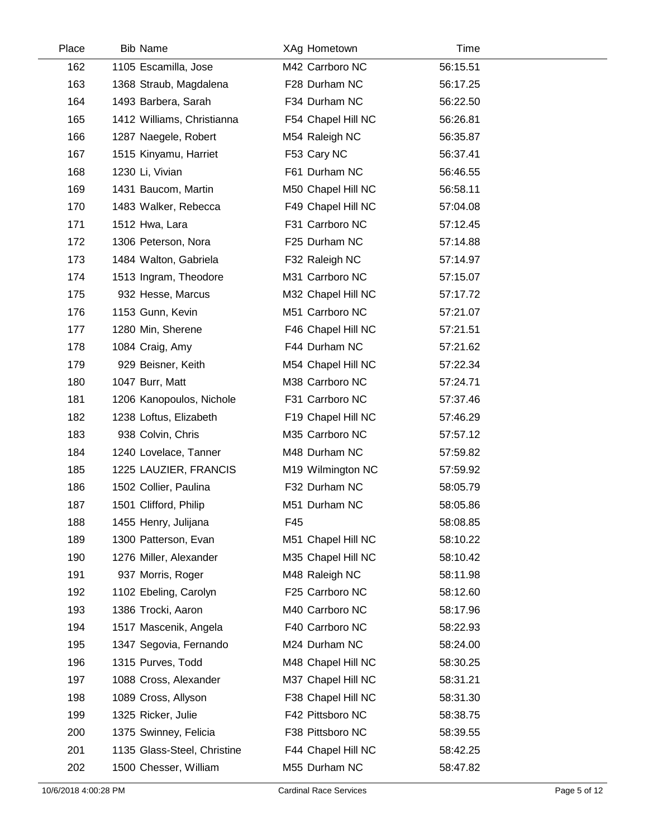| Place | <b>Bib Name</b>             | XAg Hometown       | Time     |  |
|-------|-----------------------------|--------------------|----------|--|
| 162   | 1105 Escamilla, Jose        | M42 Carrboro NC    | 56:15.51 |  |
| 163   | 1368 Straub, Magdalena      | F28 Durham NC      | 56:17.25 |  |
| 164   | 1493 Barbera, Sarah         | F34 Durham NC      | 56:22.50 |  |
| 165   | 1412 Williams, Christianna  | F54 Chapel Hill NC | 56:26.81 |  |
| 166   | 1287 Naegele, Robert        | M54 Raleigh NC     | 56:35.87 |  |
| 167   | 1515 Kinyamu, Harriet       | F53 Cary NC        | 56:37.41 |  |
| 168   | 1230 Li, Vivian             | F61 Durham NC      | 56:46.55 |  |
| 169   | 1431 Baucom, Martin         | M50 Chapel Hill NC | 56:58.11 |  |
| 170   | 1483 Walker, Rebecca        | F49 Chapel Hill NC | 57:04.08 |  |
| 171   | 1512 Hwa, Lara              | F31 Carrboro NC    | 57:12.45 |  |
| 172   | 1306 Peterson, Nora         | F25 Durham NC      | 57:14.88 |  |
| 173   | 1484 Walton, Gabriela       | F32 Raleigh NC     | 57:14.97 |  |
| 174   | 1513 Ingram, Theodore       | M31 Carrboro NC    | 57:15.07 |  |
| 175   | 932 Hesse, Marcus           | M32 Chapel Hill NC | 57:17.72 |  |
| 176   | 1153 Gunn, Kevin            | M51 Carrboro NC    | 57:21.07 |  |
| 177   | 1280 Min, Sherene           | F46 Chapel Hill NC | 57:21.51 |  |
| 178   | 1084 Craig, Amy             | F44 Durham NC      | 57:21.62 |  |
| 179   | 929 Beisner, Keith          | M54 Chapel Hill NC | 57:22.34 |  |
| 180   | 1047 Burr, Matt             | M38 Carrboro NC    | 57:24.71 |  |
| 181   | 1206 Kanopoulos, Nichole    | F31 Carrboro NC    | 57:37.46 |  |
| 182   | 1238 Loftus, Elizabeth      | F19 Chapel Hill NC | 57:46.29 |  |
| 183   | 938 Colvin, Chris           | M35 Carrboro NC    | 57:57.12 |  |
| 184   | 1240 Lovelace, Tanner       | M48 Durham NC      | 57:59.82 |  |
| 185   | 1225 LAUZIER, FRANCIS       | M19 Wilmington NC  | 57:59.92 |  |
| 186   | 1502 Collier, Paulina       | F32 Durham NC      | 58:05.79 |  |
| 187   | 1501 Clifford, Philip       | M51 Durham NC      | 58:05.86 |  |
| 188   | 1455 Henry, Julijana        | F45                | 58:08.85 |  |
| 189   | 1300 Patterson, Evan        | M51 Chapel Hill NC | 58:10.22 |  |
| 190   | 1276 Miller, Alexander      | M35 Chapel Hill NC | 58:10.42 |  |
| 191   | 937 Morris, Roger           | M48 Raleigh NC     | 58:11.98 |  |
| 192   | 1102 Ebeling, Carolyn       | F25 Carrboro NC    | 58:12.60 |  |
| 193   | 1386 Trocki, Aaron          | M40 Carrboro NC    | 58:17.96 |  |
| 194   | 1517 Mascenik, Angela       | F40 Carrboro NC    | 58:22.93 |  |
| 195   | 1347 Segovia, Fernando      | M24 Durham NC      | 58:24.00 |  |
| 196   | 1315 Purves, Todd           | M48 Chapel Hill NC | 58:30.25 |  |
| 197   | 1088 Cross, Alexander       | M37 Chapel Hill NC | 58:31.21 |  |
| 198   | 1089 Cross, Allyson         | F38 Chapel Hill NC | 58:31.30 |  |
| 199   | 1325 Ricker, Julie          | F42 Pittsboro NC   | 58:38.75 |  |
| 200   | 1375 Swinney, Felicia       | F38 Pittsboro NC   | 58:39.55 |  |
| 201   | 1135 Glass-Steel, Christine | F44 Chapel Hill NC | 58:42.25 |  |
| 202   | 1500 Chesser, William       | M55 Durham NC      | 58:47.82 |  |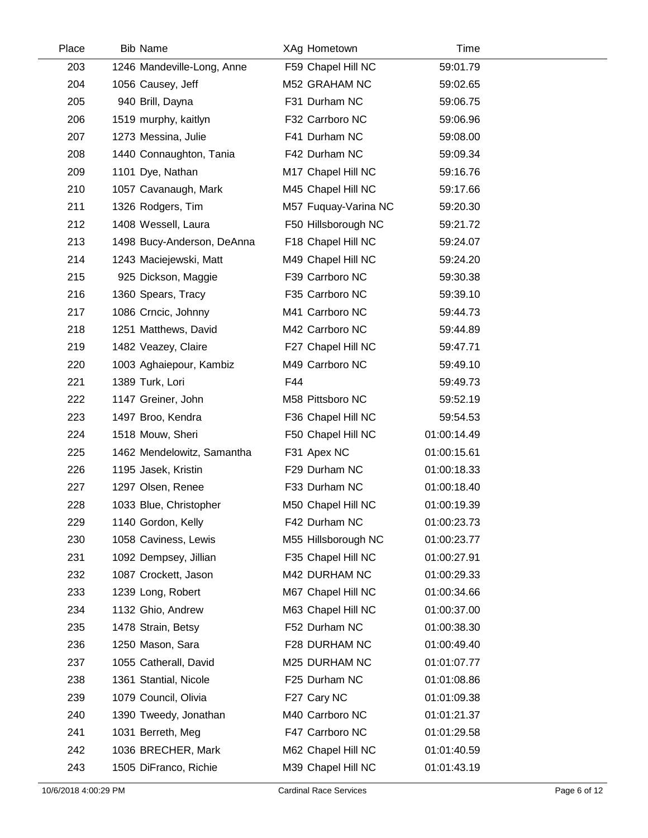| Place | <b>Bib Name</b>            |     | XAg Hometown         | Time        |  |
|-------|----------------------------|-----|----------------------|-------------|--|
| 203   | 1246 Mandeville-Long, Anne |     | F59 Chapel Hill NC   | 59:01.79    |  |
| 204   | 1056 Causey, Jeff          |     | M52 GRAHAM NC        | 59:02.65    |  |
| 205   | 940 Brill, Dayna           |     | F31 Durham NC        | 59:06.75    |  |
| 206   | 1519 murphy, kaitlyn       |     | F32 Carrboro NC      | 59:06.96    |  |
| 207   | 1273 Messina, Julie        |     | F41 Durham NC        | 59:08.00    |  |
| 208   | 1440 Connaughton, Tania    |     | F42 Durham NC        | 59:09.34    |  |
| 209   | 1101 Dye, Nathan           |     | M17 Chapel Hill NC   | 59:16.76    |  |
| 210   | 1057 Cavanaugh, Mark       |     | M45 Chapel Hill NC   | 59:17.66    |  |
| 211   | 1326 Rodgers, Tim          |     | M57 Fuquay-Varina NC | 59:20.30    |  |
| 212   | 1408 Wessell, Laura        |     | F50 Hillsborough NC  | 59:21.72    |  |
| 213   | 1498 Bucy-Anderson, DeAnna |     | F18 Chapel Hill NC   | 59:24.07    |  |
| 214   | 1243 Maciejewski, Matt     |     | M49 Chapel Hill NC   | 59:24.20    |  |
| 215   | 925 Dickson, Maggie        |     | F39 Carrboro NC      | 59:30.38    |  |
| 216   | 1360 Spears, Tracy         |     | F35 Carrboro NC      | 59:39.10    |  |
| 217   | 1086 Crncic, Johnny        |     | M41 Carrboro NC      | 59:44.73    |  |
| 218   | 1251 Matthews, David       |     | M42 Carrboro NC      | 59:44.89    |  |
| 219   | 1482 Veazey, Claire        |     | F27 Chapel Hill NC   | 59:47.71    |  |
| 220   | 1003 Aghaiepour, Kambiz    |     | M49 Carrboro NC      | 59:49.10    |  |
| 221   | 1389 Turk, Lori            | F44 |                      | 59:49.73    |  |
| 222   | 1147 Greiner, John         |     | M58 Pittsboro NC     | 59:52.19    |  |
| 223   | 1497 Broo, Kendra          |     | F36 Chapel Hill NC   | 59:54.53    |  |
| 224   | 1518 Mouw, Sheri           |     | F50 Chapel Hill NC   | 01:00:14.49 |  |
| 225   | 1462 Mendelowitz, Samantha |     | F31 Apex NC          | 01:00:15.61 |  |
| 226   | 1195 Jasek, Kristin        |     | F29 Durham NC        | 01:00:18.33 |  |
| 227   | 1297 Olsen, Renee          |     | F33 Durham NC        | 01:00:18.40 |  |
| 228   | 1033 Blue, Christopher     |     | M50 Chapel Hill NC   | 01:00:19.39 |  |
| 229   | 1140 Gordon, Kelly         |     | F42 Durham NC        | 01:00:23.73 |  |
| 230   | 1058 Caviness, Lewis       |     | M55 Hillsborough NC  | 01:00:23.77 |  |
| 231   | 1092 Dempsey, Jillian      |     | F35 Chapel Hill NC   | 01:00:27.91 |  |
| 232   | 1087 Crockett, Jason       |     | M42 DURHAM NC        | 01:00:29.33 |  |
| 233   | 1239 Long, Robert          |     | M67 Chapel Hill NC   | 01:00:34.66 |  |
| 234   | 1132 Ghio, Andrew          |     | M63 Chapel Hill NC   | 01:00:37.00 |  |
| 235   | 1478 Strain, Betsy         |     | F52 Durham NC        | 01:00:38.30 |  |
| 236   | 1250 Mason, Sara           |     | F28 DURHAM NC        | 01:00:49.40 |  |
| 237   | 1055 Catherall, David      |     | M25 DURHAM NC        | 01:01:07.77 |  |
| 238   | 1361 Stantial, Nicole      |     | F25 Durham NC        | 01:01:08.86 |  |
| 239   | 1079 Council, Olivia       |     | F27 Cary NC          | 01:01:09.38 |  |
| 240   | 1390 Tweedy, Jonathan      |     | M40 Carrboro NC      | 01:01:21.37 |  |
| 241   | 1031 Berreth, Meg          |     | F47 Carrboro NC      | 01:01:29.58 |  |
| 242   | 1036 BRECHER, Mark         |     | M62 Chapel Hill NC   | 01:01:40.59 |  |
| 243   | 1505 DiFranco, Richie      |     | M39 Chapel Hill NC   | 01:01:43.19 |  |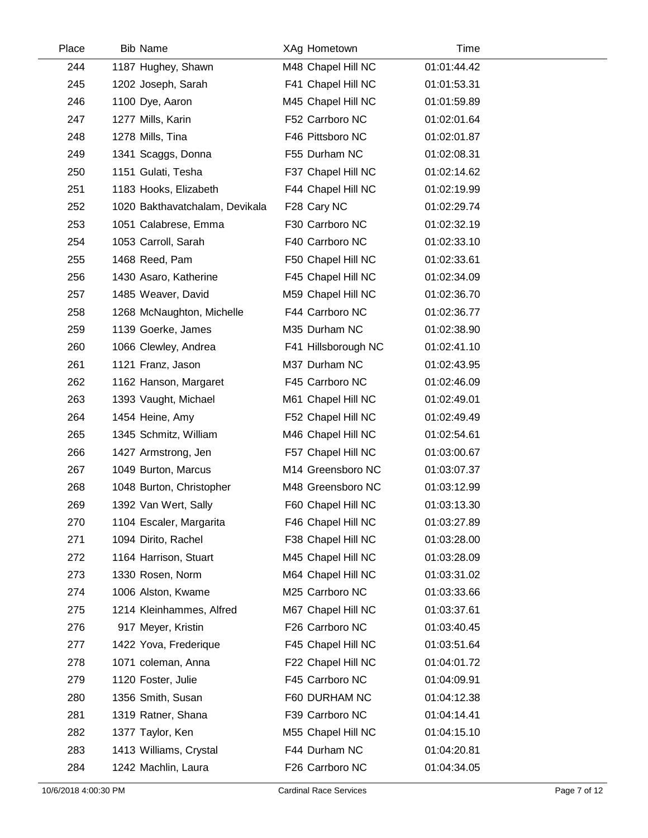| Place | <b>Bib Name</b>                | XAg Hometown        | Time        |  |
|-------|--------------------------------|---------------------|-------------|--|
| 244   | 1187 Hughey, Shawn             | M48 Chapel Hill NC  | 01:01:44.42 |  |
| 245   | 1202 Joseph, Sarah             | F41 Chapel Hill NC  | 01:01:53.31 |  |
| 246   | 1100 Dye, Aaron                | M45 Chapel Hill NC  | 01:01:59.89 |  |
| 247   | 1277 Mills, Karin              | F52 Carrboro NC     | 01:02:01.64 |  |
| 248   | 1278 Mills, Tina               | F46 Pittsboro NC    | 01:02:01.87 |  |
| 249   | 1341 Scaggs, Donna             | F55 Durham NC       | 01:02:08.31 |  |
| 250   | 1151 Gulati, Tesha             | F37 Chapel Hill NC  | 01:02:14.62 |  |
| 251   | 1183 Hooks, Elizabeth          | F44 Chapel Hill NC  | 01:02:19.99 |  |
| 252   | 1020 Bakthavatchalam, Devikala | F28 Cary NC         | 01:02:29.74 |  |
| 253   | 1051 Calabrese, Emma           | F30 Carrboro NC     | 01:02:32.19 |  |
| 254   | 1053 Carroll, Sarah            | F40 Carrboro NC     | 01:02:33.10 |  |
| 255   | 1468 Reed, Pam                 | F50 Chapel Hill NC  | 01:02:33.61 |  |
| 256   | 1430 Asaro, Katherine          | F45 Chapel Hill NC  | 01:02:34.09 |  |
| 257   | 1485 Weaver, David             | M59 Chapel Hill NC  | 01:02:36.70 |  |
| 258   | 1268 McNaughton, Michelle      | F44 Carrboro NC     | 01:02:36.77 |  |
| 259   | 1139 Goerke, James             | M35 Durham NC       | 01:02:38.90 |  |
| 260   | 1066 Clewley, Andrea           | F41 Hillsborough NC | 01:02:41.10 |  |
| 261   | 1121 Franz, Jason              | M37 Durham NC       | 01:02:43.95 |  |
| 262   | 1162 Hanson, Margaret          | F45 Carrboro NC     | 01:02:46.09 |  |
| 263   | 1393 Vaught, Michael           | M61 Chapel Hill NC  | 01:02:49.01 |  |
| 264   | 1454 Heine, Amy                | F52 Chapel Hill NC  | 01:02:49.49 |  |
| 265   | 1345 Schmitz, William          | M46 Chapel Hill NC  | 01:02:54.61 |  |
| 266   | 1427 Armstrong, Jen            | F57 Chapel Hill NC  | 01:03:00.67 |  |
| 267   | 1049 Burton, Marcus            | M14 Greensboro NC   | 01:03:07.37 |  |
| 268   | 1048 Burton, Christopher       | M48 Greensboro NC   | 01:03:12.99 |  |
| 269   | 1392 Van Wert, Sally           | F60 Chapel Hill NC  | 01:03:13.30 |  |
| 270   | 1104 Escaler, Margarita        | F46 Chapel Hill NC  | 01:03:27.89 |  |
| 271   | 1094 Dirito, Rachel            | F38 Chapel Hill NC  | 01:03:28.00 |  |
| 272   | 1164 Harrison, Stuart          | M45 Chapel Hill NC  | 01:03:28.09 |  |
| 273   | 1330 Rosen, Norm               | M64 Chapel Hill NC  | 01:03:31.02 |  |
| 274   | 1006 Alston, Kwame             | M25 Carrboro NC     | 01:03:33.66 |  |
| 275   | 1214 Kleinhammes, Alfred       | M67 Chapel Hill NC  | 01:03:37.61 |  |
| 276   | 917 Meyer, Kristin             | F26 Carrboro NC     | 01:03:40.45 |  |
| 277   | 1422 Yova, Frederique          | F45 Chapel Hill NC  | 01:03:51.64 |  |
| 278   | 1071 coleman, Anna             | F22 Chapel Hill NC  | 01:04:01.72 |  |
| 279   | 1120 Foster, Julie             | F45 Carrboro NC     | 01:04:09.91 |  |
| 280   | 1356 Smith, Susan              | F60 DURHAM NC       | 01:04:12.38 |  |
| 281   | 1319 Ratner, Shana             | F39 Carrboro NC     | 01:04:14.41 |  |
| 282   | 1377 Taylor, Ken               | M55 Chapel Hill NC  | 01:04:15.10 |  |
| 283   | 1413 Williams, Crystal         | F44 Durham NC       | 01:04:20.81 |  |
| 284   | 1242 Machlin, Laura            | F26 Carrboro NC     | 01:04:34.05 |  |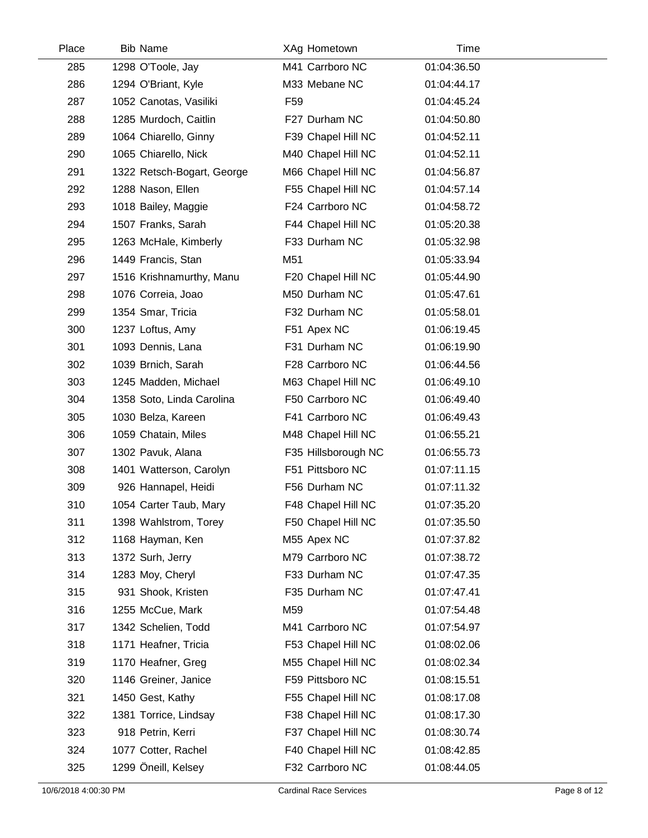| Place | <b>Bib Name</b>            | XAg Hometown        | Time        |  |
|-------|----------------------------|---------------------|-------------|--|
| 285   | 1298 O'Toole, Jay          | M41 Carrboro NC     | 01:04:36.50 |  |
| 286   | 1294 O'Briant, Kyle        | M33 Mebane NC       | 01:04:44.17 |  |
| 287   | 1052 Canotas, Vasiliki     | F <sub>59</sub>     | 01:04:45.24 |  |
| 288   | 1285 Murdoch, Caitlin      | F27 Durham NC       | 01:04:50.80 |  |
| 289   | 1064 Chiarello, Ginny      | F39 Chapel Hill NC  | 01:04:52.11 |  |
| 290   | 1065 Chiarello, Nick       | M40 Chapel Hill NC  | 01:04:52.11 |  |
| 291   | 1322 Retsch-Bogart, George | M66 Chapel Hill NC  | 01:04:56.87 |  |
| 292   | 1288 Nason, Ellen          | F55 Chapel Hill NC  | 01:04:57.14 |  |
| 293   | 1018 Bailey, Maggie        | F24 Carrboro NC     | 01:04:58.72 |  |
| 294   | 1507 Franks, Sarah         | F44 Chapel Hill NC  | 01:05:20.38 |  |
| 295   | 1263 McHale, Kimberly      | F33 Durham NC       | 01:05:32.98 |  |
| 296   | 1449 Francis, Stan         | M51                 | 01:05:33.94 |  |
| 297   | 1516 Krishnamurthy, Manu   | F20 Chapel Hill NC  | 01:05:44.90 |  |
| 298   | 1076 Correia, Joao         | M50 Durham NC       | 01:05:47.61 |  |
| 299   | 1354 Smar, Tricia          | F32 Durham NC       | 01:05:58.01 |  |
| 300   | 1237 Loftus, Amy           | F51 Apex NC         | 01:06:19.45 |  |
| 301   | 1093 Dennis, Lana          | F31 Durham NC       | 01:06:19.90 |  |
| 302   | 1039 Brnich, Sarah         | F28 Carrboro NC     | 01:06:44.56 |  |
| 303   | 1245 Madden, Michael       | M63 Chapel Hill NC  | 01:06:49.10 |  |
| 304   | 1358 Soto, Linda Carolina  | F50 Carrboro NC     | 01:06:49.40 |  |
| 305   | 1030 Belza, Kareen         | F41 Carrboro NC     | 01:06:49.43 |  |
| 306   | 1059 Chatain, Miles        | M48 Chapel Hill NC  | 01:06:55.21 |  |
| 307   | 1302 Pavuk, Alana          | F35 Hillsborough NC | 01:06:55.73 |  |
| 308   | 1401 Watterson, Carolyn    | F51 Pittsboro NC    | 01:07:11.15 |  |
| 309   | 926 Hannapel, Heidi        | F56 Durham NC       | 01:07:11.32 |  |
| 310   | 1054 Carter Taub, Mary     | F48 Chapel Hill NC  | 01:07:35.20 |  |
| 311   | 1398 Wahlstrom, Torey      | F50 Chapel Hill NC  | 01:07:35.50 |  |
| 312   | 1168 Hayman, Ken           | M55 Apex NC         | 01:07:37.82 |  |
| 313   | 1372 Surh, Jerry           | M79 Carrboro NC     | 01:07:38.72 |  |
| 314   | 1283 Moy, Cheryl           | F33 Durham NC       | 01:07:47.35 |  |
| 315   | 931 Shook, Kristen         | F35 Durham NC       | 01:07:47.41 |  |
| 316   | 1255 McCue, Mark           | M59                 | 01:07:54.48 |  |
| 317   | 1342 Schelien, Todd        | M41 Carrboro NC     | 01:07:54.97 |  |
| 318   | 1171 Heafner, Tricia       | F53 Chapel Hill NC  | 01:08:02.06 |  |
| 319   | 1170 Heafner, Greg         | M55 Chapel Hill NC  | 01:08:02.34 |  |
| 320   | 1146 Greiner, Janice       | F59 Pittsboro NC    | 01:08:15.51 |  |
| 321   | 1450 Gest, Kathy           | F55 Chapel Hill NC  | 01:08:17.08 |  |
| 322   | 1381 Torrice, Lindsay      | F38 Chapel Hill NC  | 01:08:17.30 |  |
| 323   | 918 Petrin, Kerri          | F37 Chapel Hill NC  | 01:08:30.74 |  |
| 324   | 1077 Cotter, Rachel        | F40 Chapel Hill NC  | 01:08:42.85 |  |
| 325   | 1299 Öneill, Kelsey        | F32 Carrboro NC     | 01:08:44.05 |  |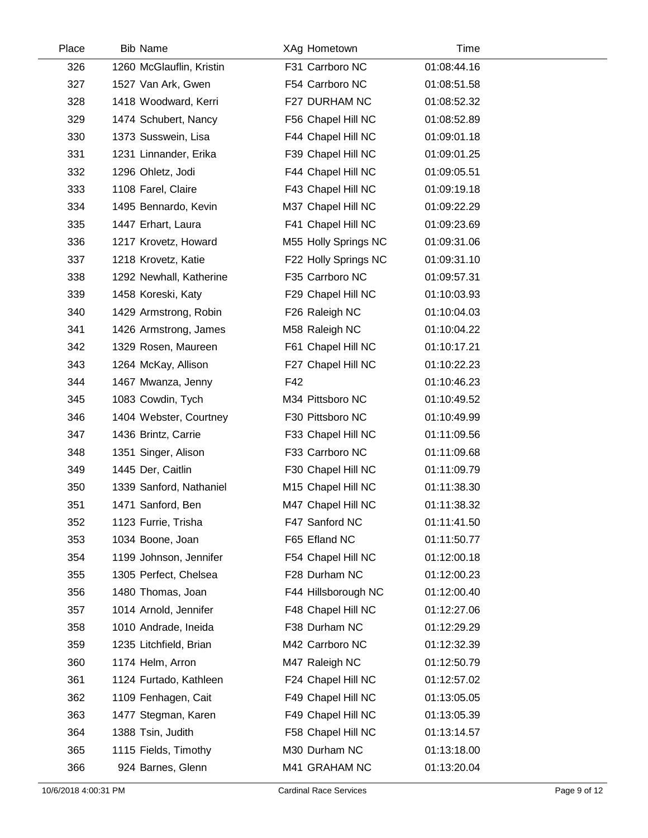| Place | <b>Bib Name</b>          | XAg Hometown         | Time        |  |
|-------|--------------------------|----------------------|-------------|--|
| 326   | 1260 McGlauflin, Kristin | F31 Carrboro NC      | 01:08:44.16 |  |
| 327   | 1527 Van Ark, Gwen       | F54 Carrboro NC      | 01:08:51.58 |  |
| 328   | 1418 Woodward, Kerri     | F27 DURHAM NC        | 01:08:52.32 |  |
| 329   | 1474 Schubert, Nancy     | F56 Chapel Hill NC   | 01:08:52.89 |  |
| 330   | 1373 Susswein, Lisa      | F44 Chapel Hill NC   | 01:09:01.18 |  |
| 331   | 1231 Linnander, Erika    | F39 Chapel Hill NC   | 01:09:01.25 |  |
| 332   | 1296 Ohletz, Jodi        | F44 Chapel Hill NC   | 01:09:05.51 |  |
| 333   | 1108 Farel, Claire       | F43 Chapel Hill NC   | 01:09:19.18 |  |
| 334   | 1495 Bennardo, Kevin     | M37 Chapel Hill NC   | 01:09:22.29 |  |
| 335   | 1447 Erhart, Laura       | F41 Chapel Hill NC   | 01:09:23.69 |  |
| 336   | 1217 Krovetz, Howard     | M55 Holly Springs NC | 01:09:31.06 |  |
| 337   | 1218 Krovetz, Katie      | F22 Holly Springs NC | 01:09:31.10 |  |
| 338   | 1292 Newhall, Katherine  | F35 Carrboro NC      | 01:09:57.31 |  |
| 339   | 1458 Koreski, Katy       | F29 Chapel Hill NC   | 01:10:03.93 |  |
| 340   | 1429 Armstrong, Robin    | F26 Raleigh NC       | 01:10:04.03 |  |
| 341   | 1426 Armstrong, James    | M58 Raleigh NC       | 01:10:04.22 |  |
| 342   | 1329 Rosen, Maureen      | F61 Chapel Hill NC   | 01:10:17.21 |  |
| 343   | 1264 McKay, Allison      | F27 Chapel Hill NC   | 01:10:22.23 |  |
| 344   | 1467 Mwanza, Jenny       | F42                  | 01:10:46.23 |  |
| 345   | 1083 Cowdin, Tych        | M34 Pittsboro NC     | 01:10:49.52 |  |
| 346   | 1404 Webster, Courtney   | F30 Pittsboro NC     | 01:10:49.99 |  |
| 347   | 1436 Brintz, Carrie      | F33 Chapel Hill NC   | 01:11:09.56 |  |
| 348   | 1351 Singer, Alison      | F33 Carrboro NC      | 01:11:09.68 |  |
| 349   | 1445 Der, Caitlin        | F30 Chapel Hill NC   | 01:11:09.79 |  |
| 350   | 1339 Sanford, Nathaniel  | M15 Chapel Hill NC   | 01:11:38.30 |  |
| 351   | 1471 Sanford, Ben        | M47 Chapel Hill NC   | 01:11:38.32 |  |
| 352   | 1123 Furrie, Trisha      | F47 Sanford NC       | 01:11:41.50 |  |
| 353   | 1034 Boone, Joan         | F65 Efland NC        | 01:11:50.77 |  |
| 354   | 1199 Johnson, Jennifer   | F54 Chapel Hill NC   | 01:12:00.18 |  |
| 355   | 1305 Perfect, Chelsea    | F28 Durham NC        | 01:12:00.23 |  |
| 356   | 1480 Thomas, Joan        | F44 Hillsborough NC  | 01:12:00.40 |  |
| 357   | 1014 Arnold, Jennifer    | F48 Chapel Hill NC   | 01:12:27.06 |  |
| 358   | 1010 Andrade, Ineida     | F38 Durham NC        | 01:12:29.29 |  |
| 359   | 1235 Litchfield, Brian   | M42 Carrboro NC      | 01:12:32.39 |  |
| 360   | 1174 Helm, Arron         | M47 Raleigh NC       | 01:12:50.79 |  |
| 361   | 1124 Furtado, Kathleen   | F24 Chapel Hill NC   | 01:12:57.02 |  |
| 362   | 1109 Fenhagen, Cait      | F49 Chapel Hill NC   | 01:13:05.05 |  |
| 363   | 1477 Stegman, Karen      | F49 Chapel Hill NC   | 01:13:05.39 |  |
| 364   | 1388 Tsin, Judith        | F58 Chapel Hill NC   | 01:13:14.57 |  |
| 365   | 1115 Fields, Timothy     | M30 Durham NC        | 01:13:18.00 |  |
| 366   | 924 Barnes, Glenn        | M41 GRAHAM NC        | 01:13:20.04 |  |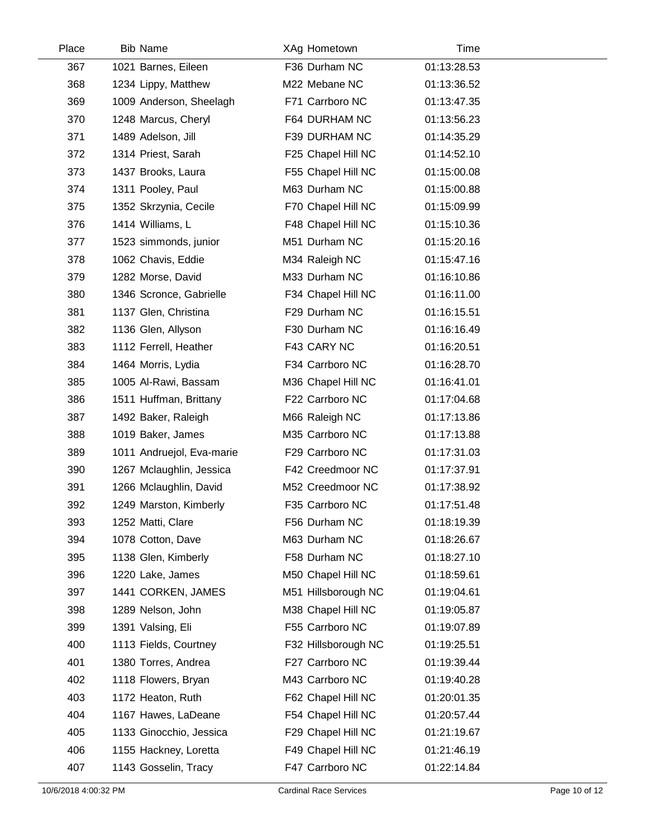| Place | <b>Bib Name</b>           | XAg Hometown        | Time        |  |
|-------|---------------------------|---------------------|-------------|--|
| 367   | 1021 Barnes, Eileen       | F36 Durham NC       | 01:13:28.53 |  |
| 368   | 1234 Lippy, Matthew       | M22 Mebane NC       | 01:13:36.52 |  |
| 369   | 1009 Anderson, Sheelagh   | F71 Carrboro NC     | 01:13:47.35 |  |
| 370   | 1248 Marcus, Cheryl       | F64 DURHAM NC       | 01:13:56.23 |  |
| 371   | 1489 Adelson, Jill        | F39 DURHAM NC       | 01:14:35.29 |  |
| 372   | 1314 Priest, Sarah        | F25 Chapel Hill NC  | 01:14:52.10 |  |
| 373   | 1437 Brooks, Laura        | F55 Chapel Hill NC  | 01:15:00.08 |  |
| 374   | 1311 Pooley, Paul         | M63 Durham NC       | 01:15:00.88 |  |
| 375   | 1352 Skrzynia, Cecile     | F70 Chapel Hill NC  | 01:15:09.99 |  |
| 376   | 1414 Williams, L          | F48 Chapel Hill NC  | 01:15:10.36 |  |
| 377   | 1523 simmonds, junior     | M51 Durham NC       | 01:15:20.16 |  |
| 378   | 1062 Chavis, Eddie        | M34 Raleigh NC      | 01:15:47.16 |  |
| 379   | 1282 Morse, David         | M33 Durham NC       | 01:16:10.86 |  |
| 380   | 1346 Scronce, Gabrielle   | F34 Chapel Hill NC  | 01:16:11.00 |  |
| 381   | 1137 Glen, Christina      | F29 Durham NC       | 01:16:15.51 |  |
| 382   | 1136 Glen, Allyson        | F30 Durham NC       | 01:16:16.49 |  |
| 383   | 1112 Ferrell, Heather     | F43 CARY NC         | 01:16:20.51 |  |
| 384   | 1464 Morris, Lydia        | F34 Carrboro NC     | 01:16:28.70 |  |
| 385   | 1005 Al-Rawi, Bassam      | M36 Chapel Hill NC  | 01:16:41.01 |  |
| 386   | 1511 Huffman, Brittany    | F22 Carrboro NC     | 01:17:04.68 |  |
| 387   | 1492 Baker, Raleigh       | M66 Raleigh NC      | 01:17:13.86 |  |
| 388   | 1019 Baker, James         | M35 Carrboro NC     | 01:17:13.88 |  |
| 389   | 1011 Andruejol, Eva-marie | F29 Carrboro NC     | 01:17:31.03 |  |
| 390   | 1267 Mclaughlin, Jessica  | F42 Creedmoor NC    | 01:17:37.91 |  |
| 391   | 1266 Mclaughlin, David    | M52 Creedmoor NC    | 01:17:38.92 |  |
| 392   | 1249 Marston, Kimberly    | F35 Carrboro NC     | 01:17:51.48 |  |
| 393   | 1252 Matti, Clare         | F56 Durham NC       | 01:18:19.39 |  |
| 394   | 1078 Cotton, Dave         | M63 Durham NC       | 01:18:26.67 |  |
| 395   | 1138 Glen, Kimberly       | F58 Durham NC       | 01:18:27.10 |  |
| 396   | 1220 Lake, James          | M50 Chapel Hill NC  | 01:18:59.61 |  |
| 397   | 1441 CORKEN, JAMES        | M51 Hillsborough NC | 01:19:04.61 |  |
| 398   | 1289 Nelson, John         | M38 Chapel Hill NC  | 01:19:05.87 |  |
| 399   | 1391 Valsing, Eli         | F55 Carrboro NC     | 01:19:07.89 |  |
| 400   | 1113 Fields, Courtney     | F32 Hillsborough NC | 01:19:25.51 |  |
| 401   | 1380 Torres, Andrea       | F27 Carrboro NC     | 01:19:39.44 |  |
| 402   | 1118 Flowers, Bryan       | M43 Carrboro NC     | 01:19:40.28 |  |
| 403   | 1172 Heaton, Ruth         | F62 Chapel Hill NC  | 01:20:01.35 |  |
| 404   | 1167 Hawes, LaDeane       | F54 Chapel Hill NC  | 01:20:57.44 |  |
| 405   | 1133 Ginocchio, Jessica   | F29 Chapel Hill NC  | 01:21:19.67 |  |
| 406   | 1155 Hackney, Loretta     | F49 Chapel Hill NC  | 01:21:46.19 |  |
| 407   | 1143 Gosselin, Tracy      | F47 Carrboro NC     | 01:22:14.84 |  |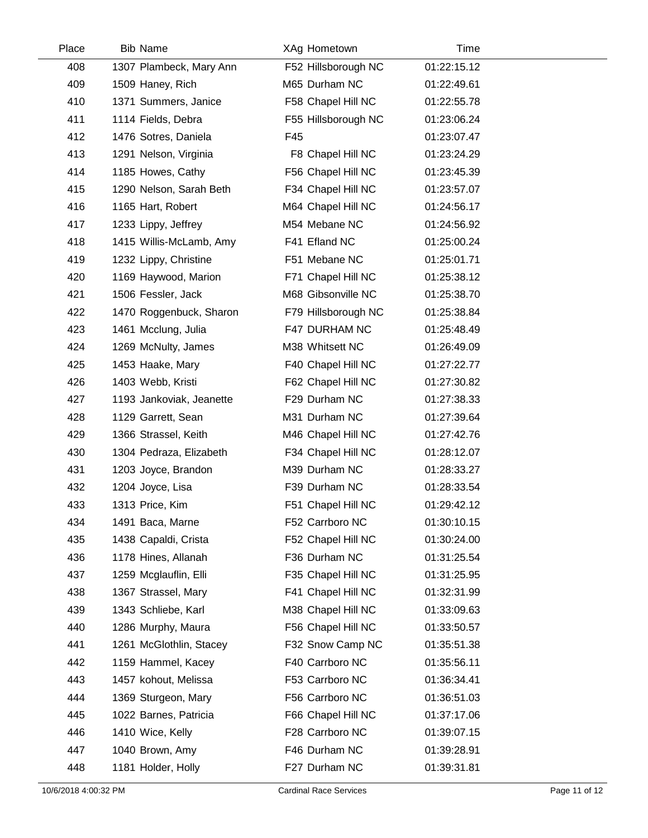| Place | <b>Bib Name</b>          | XAg Hometown        | Time        |  |
|-------|--------------------------|---------------------|-------------|--|
| 408   | 1307 Plambeck, Mary Ann  | F52 Hillsborough NC | 01:22:15.12 |  |
| 409   | 1509 Haney, Rich         | M65 Durham NC       | 01:22:49.61 |  |
| 410   | 1371 Summers, Janice     | F58 Chapel Hill NC  | 01:22:55.78 |  |
| 411   | 1114 Fields, Debra       | F55 Hillsborough NC | 01:23:06.24 |  |
| 412   | 1476 Sotres, Daniela     | F45                 | 01:23:07.47 |  |
| 413   | 1291 Nelson, Virginia    | F8 Chapel Hill NC   | 01:23:24.29 |  |
| 414   | 1185 Howes, Cathy        | F56 Chapel Hill NC  | 01:23:45.39 |  |
| 415   | 1290 Nelson, Sarah Beth  | F34 Chapel Hill NC  | 01:23:57.07 |  |
| 416   | 1165 Hart, Robert        | M64 Chapel Hill NC  | 01:24:56.17 |  |
| 417   | 1233 Lippy, Jeffrey      | M54 Mebane NC       | 01:24:56.92 |  |
| 418   | 1415 Willis-McLamb, Amy  | F41 Efland NC       | 01:25:00.24 |  |
| 419   | 1232 Lippy, Christine    | F51 Mebane NC       | 01:25:01.71 |  |
| 420   | 1169 Haywood, Marion     | F71 Chapel Hill NC  | 01:25:38.12 |  |
| 421   | 1506 Fessler, Jack       | M68 Gibsonville NC  | 01:25:38.70 |  |
| 422   | 1470 Roggenbuck, Sharon  | F79 Hillsborough NC | 01:25:38.84 |  |
| 423   | 1461 Mcclung, Julia      | F47 DURHAM NC       | 01:25:48.49 |  |
| 424   | 1269 McNulty, James      | M38 Whitsett NC     | 01:26:49.09 |  |
| 425   | 1453 Haake, Mary         | F40 Chapel Hill NC  | 01:27:22.77 |  |
| 426   | 1403 Webb, Kristi        | F62 Chapel Hill NC  | 01:27:30.82 |  |
| 427   | 1193 Jankoviak, Jeanette | F29 Durham NC       | 01:27:38.33 |  |
| 428   | 1129 Garrett, Sean       | M31 Durham NC       | 01:27:39.64 |  |
| 429   | 1366 Strassel, Keith     | M46 Chapel Hill NC  | 01:27:42.76 |  |
| 430   | 1304 Pedraza, Elizabeth  | F34 Chapel Hill NC  | 01:28:12.07 |  |
| 431   | 1203 Joyce, Brandon      | M39 Durham NC       | 01:28:33.27 |  |
| 432   | 1204 Joyce, Lisa         | F39 Durham NC       | 01:28:33.54 |  |
| 433   | 1313 Price, Kim          | F51 Chapel Hill NC  | 01:29:42.12 |  |
| 434   | 1491 Baca, Marne         | F52 Carrboro NC     | 01:30:10.15 |  |
| 435   | 1438 Capaldi, Crista     | F52 Chapel Hill NC  | 01:30:24.00 |  |
| 436   | 1178 Hines, Allanah      | F36 Durham NC       | 01:31:25.54 |  |
| 437   | 1259 Mcglauflin, Elli    | F35 Chapel Hill NC  | 01:31:25.95 |  |
| 438   | 1367 Strassel, Mary      | F41 Chapel Hill NC  | 01:32:31.99 |  |
| 439   | 1343 Schliebe, Karl      | M38 Chapel Hill NC  | 01:33:09.63 |  |
| 440   | 1286 Murphy, Maura       | F56 Chapel Hill NC  | 01:33:50.57 |  |
| 441   | 1261 McGlothlin, Stacey  | F32 Snow Camp NC    | 01:35:51.38 |  |
| 442   | 1159 Hammel, Kacey       | F40 Carrboro NC     | 01:35:56.11 |  |
| 443   | 1457 kohout, Melissa     | F53 Carrboro NC     | 01:36:34.41 |  |
| 444   | 1369 Sturgeon, Mary      | F56 Carrboro NC     | 01:36:51.03 |  |
| 445   | 1022 Barnes, Patricia    | F66 Chapel Hill NC  | 01:37:17.06 |  |
| 446   | 1410 Wice, Kelly         | F28 Carrboro NC     | 01:39:07.15 |  |
| 447   | 1040 Brown, Amy          | F46 Durham NC       | 01:39:28.91 |  |
| 448   | 1181 Holder, Holly       | F27 Durham NC       | 01:39:31.81 |  |